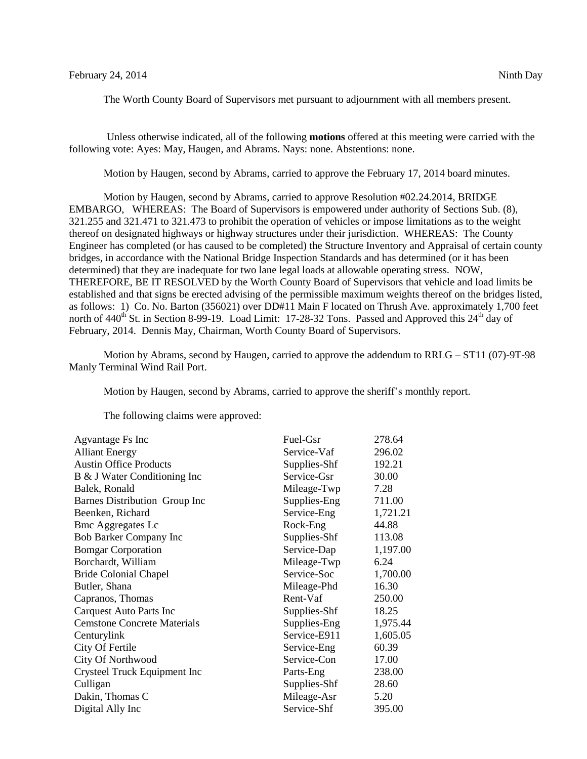The Worth County Board of Supervisors met pursuant to adjournment with all members present.

Unless otherwise indicated, all of the following **motions** offered at this meeting were carried with the following vote: Ayes: May, Haugen, and Abrams. Nays: none. Abstentions: none.

Motion by Haugen, second by Abrams, carried to approve the February 17, 2014 board minutes.

Motion by Haugen, second by Abrams, carried to approve Resolution #02.24.2014, BRIDGE EMBARGO, WHEREAS: The Board of Supervisors is empowered under authority of Sections Sub. (8), 321.255 and 321.471 to 321.473 to prohibit the operation of vehicles or impose limitations as to the weight thereof on designated highways or highway structures under their jurisdiction. WHEREAS: The County Engineer has completed (or has caused to be completed) the Structure Inventory and Appraisal of certain county bridges, in accordance with the National Bridge Inspection Standards and has determined (or it has been determined) that they are inadequate for two lane legal loads at allowable operating stress. NOW, THEREFORE, BE IT RESOLVED by the Worth County Board of Supervisors that vehicle and load limits be established and that signs be erected advising of the permissible maximum weights thereof on the bridges listed, as follows: 1) Co. No. Barton (356021) over DD#11 Main F located on Thrush Ave. approximately 1,700 feet north of  $440^{th}$  St. in Section 8-99-19. Load Limit: 17-28-32 Tons. Passed and Approved this  $24^{th}$  day of February, 2014. Dennis May, Chairman, Worth County Board of Supervisors.

Motion by Abrams, second by Haugen, carried to approve the addendum to RRLG – ST11 (07)-9T-98 Manly Terminal Wind Rail Port.

Motion by Haugen, second by Abrams, carried to approve the sheriff's monthly report.

The following claims were approved:

| Agvantage Fs Inc                     | Fuel-Gsr     | 278.64   |
|--------------------------------------|--------------|----------|
| <b>Alliant Energy</b>                | Service-Vaf  | 296.02   |
| <b>Austin Office Products</b>        | Supplies-Shf | 192.21   |
| B & J Water Conditioning Inc         | Service-Gsr  | 30.00    |
| Balek, Ronald                        | Mileage-Twp  | 7.28     |
| <b>Barnes Distribution Group Inc</b> | Supplies-Eng | 711.00   |
| Beenken, Richard                     | Service-Eng  | 1,721.21 |
| <b>Bmc Aggregates Lc</b>             | Rock-Eng     | 44.88    |
| <b>Bob Barker Company Inc</b>        | Supplies-Shf | 113.08   |
| <b>Bomgar Corporation</b>            | Service-Dap  | 1,197.00 |
| Borchardt, William                   | Mileage-Twp  | 6.24     |
| <b>Bride Colonial Chapel</b>         | Service-Soc  | 1,700.00 |
| Butler, Shana                        | Mileage-Phd  | 16.30    |
| Capranos, Thomas                     | Rent-Vaf     | 250.00   |
| Carquest Auto Parts Inc              | Supplies-Shf | 18.25    |
| <b>Cemstone Concrete Materials</b>   | Supplies-Eng | 1,975.44 |
| Centurylink                          | Service-E911 | 1,605.05 |
| City Of Fertile                      | Service-Eng  | 60.39    |
| City Of Northwood                    | Service-Con  | 17.00    |
| Crysteel Truck Equipment Inc         | Parts-Eng    | 238.00   |
| Culligan                             | Supplies-Shf | 28.60    |
| Dakin, Thomas C                      | Mileage-Asr  | 5.20     |
| Digital Ally Inc                     | Service-Shf  | 395.00   |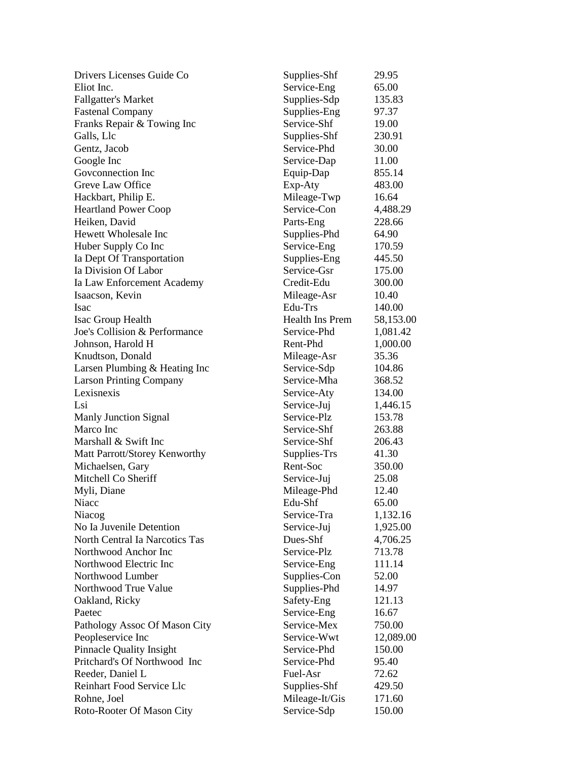| Drivers Licenses Guide Co       | Supplies-Shf    | 29.95     |
|---------------------------------|-----------------|-----------|
| Eliot Inc.                      | Service-Eng     | 65.00     |
| <b>Fallgatter's Market</b>      | Supplies-Sdp    | 135.83    |
| <b>Fastenal Company</b>         | Supplies-Eng    | 97.37     |
| Franks Repair & Towing Inc      | Service-Shf     | 19.00     |
| Galls, Llc                      | Supplies-Shf    | 230.91    |
| Gentz, Jacob                    | Service-Phd     | 30.00     |
| Google Inc                      | Service-Dap     | 11.00     |
| Govconnection Inc               | Equip-Dap       | 855.14    |
| Greve Law Office                | Exp-Aty         | 483.00    |
| Hackbart, Philip E.             | Mileage-Twp     | 16.64     |
| <b>Heartland Power Coop</b>     | Service-Con     | 4,488.29  |
| Heiken, David                   | Parts-Eng       | 228.66    |
| Hewett Wholesale Inc            | Supplies-Phd    | 64.90     |
| Huber Supply Co Inc             | Service-Eng     | 170.59    |
| Ia Dept Of Transportation       | Supplies-Eng    | 445.50    |
| Ia Division Of Labor            | Service-Gsr     | 175.00    |
| Ia Law Enforcement Academy      | Credit-Edu      | 300.00    |
| Isaacson, Kevin                 | Mileage-Asr     | 10.40     |
| Isac                            | Edu-Trs         | 140.00    |
| Isac Group Health               | Health Ins Prem | 58,153.00 |
| Joe's Collision & Performance   | Service-Phd     | 1,081.42  |
| Johnson, Harold H               | Rent-Phd        | 1,000.00  |
| Knudtson, Donald                | Mileage-Asr     | 35.36     |
| Larsen Plumbing & Heating Inc   | Service-Sdp     | 104.86    |
| <b>Larson Printing Company</b>  | Service-Mha     | 368.52    |
| Lexisnexis                      | Service-Aty     | 134.00    |
| Lsi                             | Service-Juj     | 1,446.15  |
| <b>Manly Junction Signal</b>    | Service-Plz     | 153.78    |
| Marco Inc                       | Service-Shf     | 263.88    |
| Marshall & Swift Inc            | Service-Shf     | 206.43    |
| Matt Parrott/Storey Kenworthy   | Supplies-Trs    | 41.30     |
| Michaelsen, Gary                | Rent-Soc        | 350.00    |
| Mitchell Co Sheriff             | Service-Juj     | 25.08     |
| Myli, Diane                     | Mileage-Phd     | 12.40     |
| Niacc                           | Edu-Shf         | 65.00     |
| Niacog                          | Service-Tra     | 1,132.16  |
| No Ia Juvenile Detention        | Service-Juj     | 1,925.00  |
| North Central Ia Narcotics Tas  | Dues-Shf        | 4,706.25  |
| Northwood Anchor Inc            | Service-Plz     | 713.78    |
| Northwood Electric Inc          | Service-Eng     | 111.14    |
| Northwood Lumber                | Supplies-Con    | 52.00     |
| Northwood True Value            | Supplies-Phd    | 14.97     |
| Oakland, Ricky                  | Safety-Eng      | 121.13    |
| Paetec                          | Service-Eng     | 16.67     |
| Pathology Assoc Of Mason City   | Service-Mex     | 750.00    |
| Peopleservice Inc               | Service-Wwt     | 12,089.00 |
| <b>Pinnacle Quality Insight</b> | Service-Phd     | 150.00    |
| Pritchard's Of Northwood Inc    | Service-Phd     | 95.40     |
| Reeder, Daniel L                | Fuel-Asr        | 72.62     |
| Reinhart Food Service Llc       | Supplies-Shf    | 429.50    |
| Rohne, Joel                     | Mileage-It/Gis  | 171.60    |
| Roto-Rooter Of Mason City       | Service-Sdp     | 150.00    |
|                                 |                 |           |